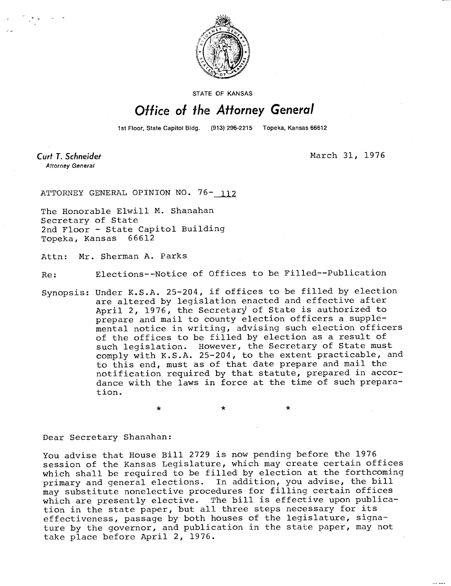

STATE OF KANSAS

## Office of the Attorney General

1st Floor, State Capitol Bldg. (913) 296-2215 Topeka, Kansas 66612

Curt T. Schneider **Attorney General** 

March 31, 1976

ATTORNEY GENERAL OPINION NO. 76- 112

The Honorable Elwill M. Shanahan Secretary of State 2nd Floor - State Capitol Building Topeka, Kansas 66612

Attn: Mr. Sherman A. Parks

Re: Elections--Notice of Offices to be Filled--Publication

Synopsis: Under K.S.A. 25-204, if offices to be filled by election are altered by legislation enacted and effective after April 2, 1976, the Secretary of State is authorized to prepare and mail to county election officers a supplemental notice in writing, advising such election officers of the offices to be filled by election as a result of such legislation. However, the Secretary of State must comply with K.S.A. 25-204, to the extent practicable, and to this end, must as of that date prepare and mail the notification required by that statute, prepared in accordance with the laws in force at the time of such preparation.

## Dear Secretary Shanahan:

You advise that House Bill 2729 is now pending before the 1976 session of the Kansas Legislature, which may create certain offices which shall be required to be filled by election at the forthcoming primary and general elections. In addition, you advise, the bill may substitute nonelective procedures for filling certain offices which are presently elective. The bill is effective upon publication in the state paper, but all three steps necessary for its effectiveness, passage by both houses of the legislature, signature by the governor, and publication in the state paper, may not take place before April 2, 1976.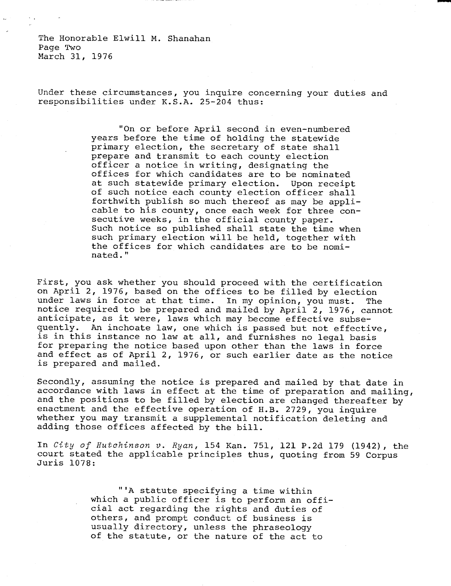The Honorable Elwill M. Shanahan Page Two March 31, 1976

Under these circumstances, you inquire concerning your duties and responsibilities under K.S.A. 25-204 thus:

> "On or before April second in even-numbered years before the time of holding the statewide primary election, the secretary of state shall prepare and transmit to each county election officer a notice in writing, designating the offices for which candidates are to be nominated<br>at such statewide primary election. Upon receipt at such statewide primary election. of such notice each county election officer shall forthwith publish so much thereof as may be applicable to his county, once each week for three consecutive weeks, in the official county paper. Such notice so published shall state the time when such primary election will be held, together with the offices for which candidates are to be nominated."

First, you ask whether you should proceed with the certification on April 2, 1976, based on the offices to be filled by election under laws in force at that time. In my opinion, you must. The notice required to be prepared and mailed by April 2, 1976, cannot anticipate, as it were, laws which may become effective subsequently. An inchoate law, one which is passed but not effective, is in this instance no law at all, and furnishes no legal basis for preparing the notice based upon other than the laws in force and effect as of April 2, 1976, or such earlier date as the notice is prepared and mailed.

Secondly, assuming the notice is prepared and mailed by that date in accordance with laws in effect at the time of preparation and mailing, and the positions to be filled by election are changed thereafter by enactment and the effective operation of H.B. 2729, you inquire whether you may transmit a supplemental notification deleting and adding those offices affected by the bill.

In City of Hutchinson v. Ryan, 154 Kan. 751, 121 P.2d 179 (1942), the court stated the applicable principles thus, quoting from 59 Corpus Juris 1078:

> "'A statute specifying a time within which a public officer is to perform an official act regarding the rights and duties of others, and prompt conduct of business is usually directory, unless the phraseology of the statute, or the nature of the act to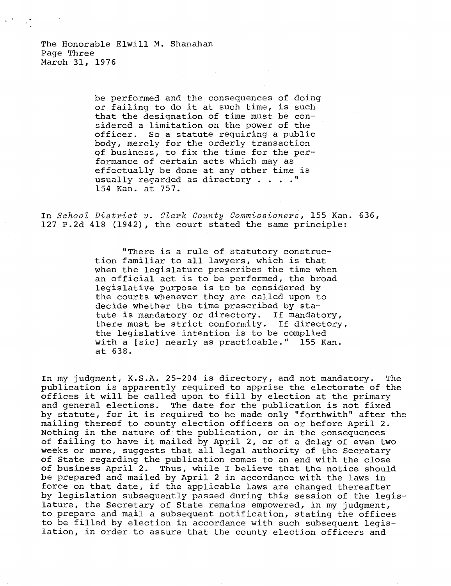be performed and the consequences of doing or failing to do it at such time, is such that the designation of time must be considered a limitation on the power of the officer. So a statute requiring a public body, merely for the orderly transaction of business, to fix the time for the performance of certain acts which may as effectually be done at any other time is usually regarded as directory . . . . " 154 Kan. at 757.

In School District v. Clark County Commissioners, 155 Kan. 636, 127 P.2d 418 (1942), the court stated the same principle:

> "There is a rule of statutory construction familiar to all lawyers, which is that when the legislature prescribes the time when an official act is to be performed, the broad legislative purpose is to be considered by the courts whenever they are called upon to decide whether the time prescribed by statute is mandatory or directory. If mandatory, there must be strict conformity. If directory, the legislative intention is to be complied with a [sic] nearly as practicable." 155 Kan. at 638.

In my judgment, K.S.A. 25-204 is directory, and not mandatory. The publication is apparently required to apprise the electorate of the offices it will be called upon to fill by election at the primary and general elections. The date for the publication is not fixed by statute, for it is required to be made only "forthwith" after the mailing thereof to county election officers on or before April 2. Nothing in the nature of the publication, or in the consequences of failing to have it mailed by April 2, or of a delay of even two weeks or more, suggests that all legal authority of the Secretary of State regarding the publication comes to an end with the close of business April 2. Thus, while I believe that the notice should be prepared and mailed by April 2 in accordance with the laws in force on that date, if the applicable laws are changed thereafter by legislation subsequently passed during this session of the legislature, the Secretary of State remains empowered, in my judgment, to prepare and mail a subsequent notification, stating the offices to be filled by election in accordance with such subsequent legislation, in order to assure that the county election officers and